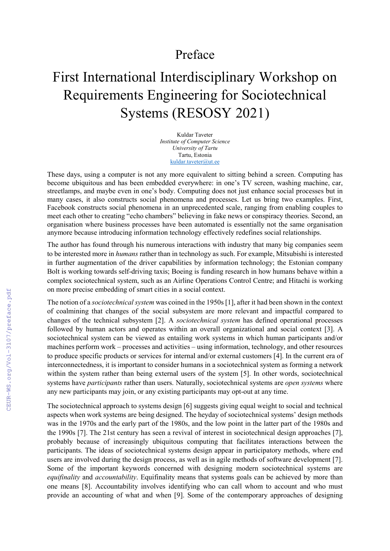## Preface

## First International Interdisciplinary Workshop on Requirements Engineering for Sociotechnical Systems (RESOSY 2021)

Kuldar Taveter Institute of Computer Science University of Tartu Tartu, Estonia kuldar.taveter@ut.ee

These days, using a computer is not any more equivalent to sitting behind a screen. Computing has become ubiquitous and has been embedded everywhere: in one's TV screen, washing machine, car, streetlamps, and maybe even in one's body. Computing does not just enhance social processes but in many cases, it also constructs social phenomena and processes. Let us bring two examples. First, Facebook constructs social phenomena in an unprecedented scale, ranging from enabling couples to meet each other to creating "echo chambers" believing in fake news or conspiracy theories. Second, an organisation where business processes have been automated is essentially not the same organisation anymore because introducing information technology effectively redefines social relationships.

The author has found through his numerous interactions with industry that many big companies seem to be interested more in humans rather than in technology as such. For example, Mitsubishi is interested in further augmentation of the driver capabilities by information technology; the Estonian company Bolt is working towards self-driving taxis; Boeing is funding research in how humans behave within a complex sociotechnical system, such as an Airline Operations Control Centre; and Hitachi is working on more precise embedding of smart cities in a social context.

The notion of a *sociotechnical system* was coined in the 1950s [1], after it had been shown in the context of coalmining that changes of the social subsystem are more relevant and impactful compared to changes of the technical subsystem [2]. A sociotechnical system has defined operational processes followed by human actors and operates within an overall organizational and social context [3]. A sociotechnical system can be viewed as entailing work systems in which human participants and/or machines perform work – processes and activities – using information, technology, and other resources to produce specific products or services for internal and/or external customers [4]. In the current era of interconnectedness, it is important to consider humans in a sociotechnical system as forming a network within the system rather than being external users of the system [5]. In other words, sociotechnical systems have *participants* rather than users. Naturally, sociotechnical systems are *open systems* where any new participants may join, or any existing participants may opt-out at any time.

The sociotechnical approach to systems design [6] suggests giving equal weight to social and technical aspects when work systems are being designed. The heyday of sociotechnical systems' design methods was in the 1970s and the early part of the 1980s, and the low point in the latter part of the 1980s and the 1990s [7]. The 21st century has seen a revival of interest in sociotechnical design approaches [7], probably because of increasingly ubiquitous computing that facilitates interactions between the participants. The ideas of sociotechnical systems design appear in participatory methods, where end users are involved during the design process, as well as in agile methods of software development [7]. Some of the important keywords concerned with designing modern sociotechnical systems are equifinality and accountability. Equifinality means that systems goals can be achieved by more than one means [8]. Accountability involves identifying who can call whom to account and who must provide an accounting of what and when [9]. Some of the contemporary approaches of designing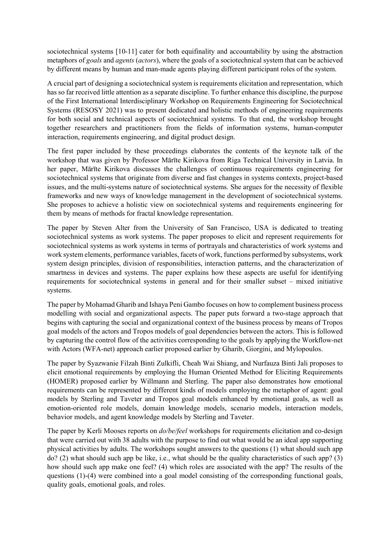sociotechnical systems [10-11] cater for both equifinality and accountability by using the abstraction metaphors of goals and agents (actors), where the goals of a sociotechnical system that can be achieved by different means by human and man-made agents playing different participant roles of the system.

A crucial part of designing a sociotechnical system is requirements elicitation and representation, which has so far received little attention as a separate discipline. To further enhance this discipline, the purpose of the First International Interdisciplinary Workshop on Requirements Engineering for Sociotechnical Systems (RESOSY 2021) was to present dedicated and holistic methods of engineering requirements for both social and technical aspects of sociotechnical systems. To that end, the workshop brought together researchers and practitioners from the fields of information systems, human-computer interaction, requirements engineering, and digital product design.

The first paper included by these proceedings elaborates the contents of the keynote talk of the workshop that was given by Professor Mārīte Kirikova from Riga Technical University in Latvia. In her paper, Mārīte Kirikova discusses the challenges of continuous requirements engineering for sociotechnical systems that originate from diverse and fast changes in systems contexts, project-based issues, and the multi-systems nature of sociotechnical systems. She argues for the necessity of flexible frameworks and new ways of knowledge management in the development of sociotechnical systems. She proposes to achieve a holistic view on sociotechnical systems and requirements engineering for them by means of methods for fractal knowledge representation.

The paper by Steven Alter from the University of San Francisco, USA is dedicated to treating sociotechnical systems as work systems. The paper proposes to elicit and represent requirements for sociotechnical systems as work systems in terms of portrayals and characteristics of work systems and work system elements, performance variables, facets of work, functions performed by subsystems, work system design principles, division of responsibilities, interaction patterns, and the characterization of smartness in devices and systems. The paper explains how these aspects are useful for identifying requirements for sociotechnical systems in general and for their smaller subset – mixed initiative systems.

The paper by Mohamad Gharib and Ishaya Peni Gambo focuses on how to complement business process modelling with social and organizational aspects. The paper puts forward a two-stage approach that begins with capturing the social and organizational context of the business process by means of Tropos goal models of the actors and Tropos models of goal dependencies between the actors. This is followed by capturing the control flow of the activities corresponding to the goals by applying the Workflow-net with Actors (WFA-net) approach earlier proposed earlier by Gharib, Giorgini, and Mylopoulos.

The paper by Syazwanie Filzah Binti Zulkifli, Cheah Wai Shiang, and Nurfauza Binti Jali proposes to elicit emotional requirements by employing the Human Oriented Method for Eliciting Requirements (HOMER) proposed earlier by Willmann and Sterling. The paper also demonstrates how emotional requirements can be represented by different kinds of models employing the metaphor of agent: goal models by Sterling and Taveter and Tropos goal models enhanced by emotional goals, as well as emotion-oriented role models, domain knowledge models, scenario models, interaction models, behavior models, and agent knowledge models by Sterling and Taveter.

The paper by Kerli Mooses reports on *do/be/feel* workshops for requirements elicitation and co-design that were carried out with 38 adults with the purpose to find out what would be an ideal app supporting physical activities by adults. The workshops sought answers to the questions (1) what should such app do? (2) what should such app be like, i.e., what should be the quality characteristics of such app? (3) how should such app make one feel? (4) which roles are associated with the app? The results of the questions (1)-(4) were combined into a goal model consisting of the corresponding functional goals, quality goals, emotional goals, and roles.